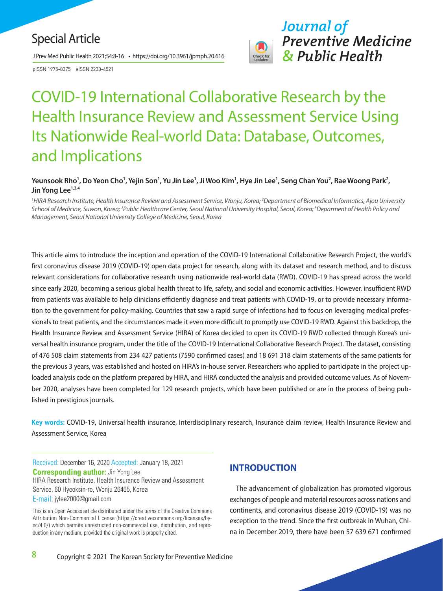# Special Article

J Prev Med Public Health 2021;54:8-16 • https://doi.org/10.3961/jpmph.20.616

pISSN 1975-8375 eISSN 2233-4521



# COVID-19 International Collaborative Research by the Health Insurance Review and Assessment Service Using Its Nationwide Real-world Data: Database, Outcomes, and Implications

#### Yeunsook Rho<sup>1</sup>, Do Yeon Cho<sup>1</sup>, Yejin Son<sup>1</sup>, Yu Jin Lee<sup>1</sup>, Ji Woo Kim<sup>1</sup>, Hye Jin Lee<sup>1</sup>, Seng Chan You<sup>2</sup>, Rae Woong Park<sup>2</sup>, Jin Yong Lee<sup>1,3,4</sup>

*1 HIRA Research Institute, Health Insurance Review and Assessment Service, Wonju, Korea; 2 Department of Biomedical Informatics, Ajou University*  School of Medicine, Suwon, Korea; <sup>3</sup>Public Healthcare Center, Seoul National University Hospital, Seoul, Korea; <sup>4</sup>Deparment of Health Policy and *Management, Seoul National University College of Medicine, Seoul, Korea*

This article aims to introduce the inception and operation of the COVID-19 International Collaborative Research Project, the world's first coronavirus disease 2019 (COVID-19) open data project for research, along with its dataset and research method, and to discuss relevant considerations for collaborative research using nationwide real-world data (RWD). COVID-19 has spread across the world since early 2020, becoming a serious global health threat to life, safety, and social and economic activities. However, insufficient RWD from patients was available to help clinicians efficiently diagnose and treat patients with COVID-19, or to provide necessary information to the government for policy-making. Countries that saw a rapid surge of infections had to focus on leveraging medical professionals to treat patients, and the circumstances made it even more difficult to promptly use COVID-19 RWD. Against this backdrop, the Health Insurance Review and Assessment Service (HIRA) of Korea decided to open its COVID-19 RWD collected through Korea's universal health insurance program, under the title of the COVID-19 International Collaborative Research Project. The dataset, consisting of 476 508 claim statements from 234 427 patients (7590 confirmed cases) and 18 691 318 claim statements of the same patients for the previous 3 years, was established and hosted on HIRA's in-house server. Researchers who applied to participate in the project uploaded analysis code on the platform prepared by HIRA, and HIRA conducted the analysis and provided outcome values. As of November 2020, analyses have been completed for 129 research projects, which have been published or are in the process of being published in prestigious journals.

**Key words:** COVID-19, Universal health insurance, Interdisciplinary research, Insurance claim review, Health Insurance Review and Assessment Service, Korea

Received: December 16, 2020 Accepted: January 18, 2021 **Corresponding author:** Jin Yong Lee HIRA Research Institute, Health Insurance Review and Assessment Service, 60 Hyeoksin-ro, Wonju 26465, Korea E-mail: jylee2000@gmail.com

This is an Open Access article distributed under the terms of the Creative Commons Attribution Non-Commercial License (https://creativecommons.org/licenses/bync/4.0/) which permits unrestricted non-commercial use, distribution, and reproduction in any medium, provided the original work is properly cited.

# **INTRODUCTION**

The advancement of globalization has promoted vigorous exchanges of people and material resources across nations and continents, and coronavirus disease 2019 (COVID-19) was no exception to the trend. Since the first outbreak in Wuhan, China in December 2019, there have been 57 639 671 confirmed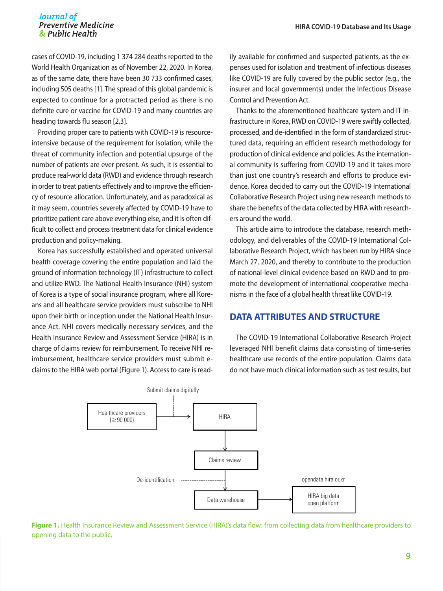# Journal of Preventive Medicine<br>*Ra* Public Health

cases of COVID-19, including 1 374 284 deaths reported to the World Health Organization as of November 22, 2020. In Korea, as of the same date, there have been 30 733 confirmed cases, including 505 deaths [1]. The spread of this global pandemic is expected to continue for a protracted period as there is no definite cure or vaccine for COVID-19 and many countries are heading towards flu season [2,3].

Providing proper care to patients with COVID-19 is resourceintensive because of the requirement for isolation, while the threat of community infection and potential upsurge of the number of patients are ever present. As such, it is essential to produce real-world data (RWD) and evidence through research in order to treat patients effectively and to improve the efficiency of resource allocation. Unfortunately, and as paradoxical as it may seem, countries severely affected by COVID-19 have to prioritize patient care above everything else, and it is often difficult to collect and process treatment data for clinical evidence production and policy-making.

Korea has successfully established and operated universal health coverage covering the entire population and laid the ground of information technology (IT) infrastructure to collect and utilize RWD. The National Health Insurance (NHI) system of Korea is a type of social insurance program, where all Koreans and all healthcare service providers must subscribe to NHI upon their birth or inception under the National Health Insurance Act. NHI covers medically necessary services, and the Health Insurance Review and Assessment Service (HIRA) is in charge of claims review for reimbursement. To receive NHI reimbursement, healthcare service providers must submit eclaims to the HIRA web portal (Figure 1). Access to care is read-

ily available for confirmed and suspected patients, as the expenses used for isolation and treatment of infectious diseases like COVID-19 are fully covered by the public sector (e.g., the insurer and local governments) under the Infectious Disease Control and Prevention Act.

Thanks to the aforementioned healthcare system and IT infrastructure in Korea, RWD on COVID-19 were swiftly collected, processed, and de-identified in the form of standardized structured data, requiring an efficient research methodology for production of clinical evidence and policies. As the international community is suffering from COVID-19 and it takes more than just one country's research and efforts to produce evidence, Korea decided to carry out the COVID-19 International Collaborative Research Project using new research methods to share the benefits of the data collected by HIRA with researchers around the world.

This article aims to introduce the database, research methodology, and deliverables of the COVID-19 International Collaborative Research Project, which has been run by HIRA since March 27, 2020, and thereby to contribute to the production of national-level clinical evidence based on RWD and to promote the development of international cooperative mechanisms in the face of a global health threat like COVID-19.

# **DATA ATTRIBUTES AND STRUCTURE**

The COVID-19 International Collaborative Research Project leveraged NHI benefit claims data consisting of time-series healthcare use records of the entire population. Claims data do not have much clinical information such as test results, but



**Figure 1.** Health Insurance Review and Assessment Service (HIRA)'s data flow: from collecting data from healthcare providers to opening data to the public.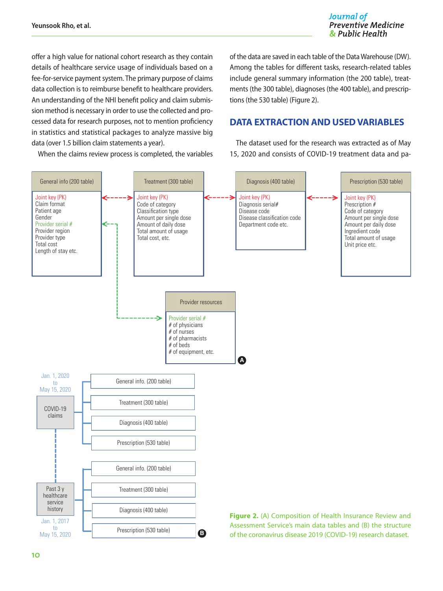Journal of **Preventive Medicine** & Public Health

offer a high value for national cohort research as they contain details of healthcare service usage of individuals based on a fee-for-service payment system. The primary purpose of claims data collection is to reimburse benefit to healthcare providers. An understanding of the NHI benefit policy and claim submission method is necessary in order to use the collected and processed data for research purposes, not to mention proficiency in statistics and statistical packages to analyze massive big data (over 1.5 billion claim statements a year).

When the claims review process is completed, the variables

of the data are saved in each table of the Data Warehouse (DW). Among the tables for different tasks, research-related tables include general summary information (the 200 table), treatments (the 300 table), diagnoses (the 400 table), and prescriptions (the 530 table) (Figure 2).

# **DATA EXTRACTION AND USED VARIABLES**

The dataset used for the research was extracted as of May 15, 2020 and consists of COVID-19 treatment data and pa-

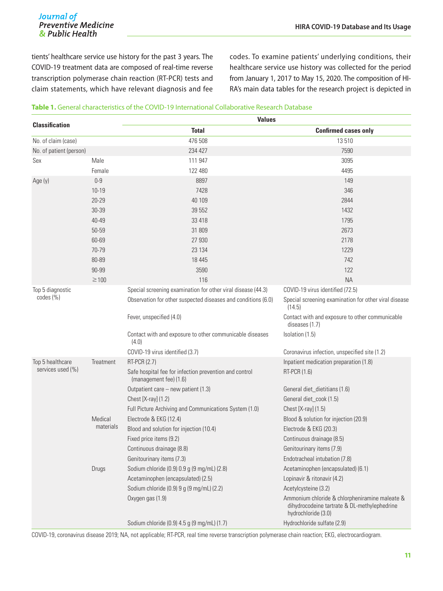# **Journal of**<br>Preventive Medicine & Public Health

tients' healthcare service use history for the past 3 years. The COVID-19 treatment data are composed of real-time reverse transcription polymerase chain reaction (RT-PCR) tests and claim statements, which have relevant diagnosis and fee codes. To examine patients' underlying conditions, their healthcare service use history was collected for the period from January 1, 2017 to May 15, 2020. The composition of HI-RA's main data tables for the research project is depicted in

#### **Table 1.** General characteristics of the COVID-19 International Collaborative Research Database

| <b>Classification</b>                 |                      | <b>Values</b>                                                                    |                                                                                                                       |  |  |
|---------------------------------------|----------------------|----------------------------------------------------------------------------------|-----------------------------------------------------------------------------------------------------------------------|--|--|
|                                       |                      | <b>Total</b>                                                                     | <b>Confirmed cases only</b>                                                                                           |  |  |
| No. of claim (case)                   |                      | 476 508                                                                          | 13510                                                                                                                 |  |  |
| No. of patient (person)               |                      | 234 427                                                                          | 7590                                                                                                                  |  |  |
| Sex                                   | Male                 | 111 947                                                                          | 3095                                                                                                                  |  |  |
|                                       | Female               | 122 480                                                                          | 4495                                                                                                                  |  |  |
| Age (y)                               | $0-9$                | 8897                                                                             | 149                                                                                                                   |  |  |
|                                       | $10 - 19$            | 7428                                                                             | 346                                                                                                                   |  |  |
|                                       | 20-29                | 40 109                                                                           | 2844                                                                                                                  |  |  |
|                                       | 30-39                | 39 552                                                                           | 1432                                                                                                                  |  |  |
|                                       | 40-49                | 33 418                                                                           | 1795                                                                                                                  |  |  |
|                                       | 50-59                | 31 809                                                                           | 2673                                                                                                                  |  |  |
|                                       | 60-69                | 27 930                                                                           | 2178                                                                                                                  |  |  |
|                                       | 70-79                | 23 1 34                                                                          | 1229                                                                                                                  |  |  |
|                                       | 80-89                | 18 4 45                                                                          | 742                                                                                                                   |  |  |
|                                       | 90-99                | 3590                                                                             | 122                                                                                                                   |  |  |
|                                       | $\geq$ 100           | 116                                                                              | <b>NA</b>                                                                                                             |  |  |
| Top 5 diagnostic                      |                      | Special screening examination for other viral disease (44.3)                     | COVID-19 virus identified (72.5)                                                                                      |  |  |
| $codes (\%)$                          |                      | Observation for other suspected diseases and conditions (6.0)                    | Special screening examination for other viral disease<br>(14.5)                                                       |  |  |
|                                       |                      | Fever, unspecified (4.0)                                                         | Contact with and exposure to other communicable<br>diseases (1.7)                                                     |  |  |
|                                       |                      | Contact with and exposure to other communicable diseases<br>(4.0)                | Isolation (1.5)                                                                                                       |  |  |
|                                       |                      | COVID-19 virus identified (3.7)                                                  | Coronavirus infection, unspecified site (1.2)                                                                         |  |  |
| Top 5 healthcare<br>services used (%) | Treatment            | RT-PCR (2.7)                                                                     | Inpatient medication preparation (1.8)                                                                                |  |  |
|                                       |                      | Safe hospital fee for infection prevention and control<br>(management fee) (1.6) | RT-PCR (1.6)                                                                                                          |  |  |
|                                       |                      | Outpatient care - new patient (1.3)                                              | General diet_dietitians (1.6)                                                                                         |  |  |
|                                       |                      | Chest [X-ray] (1.2)                                                              | General diet_cook (1.5)                                                                                               |  |  |
|                                       |                      | Full Picture Archiving and Communications System (1.0)                           | Chest [X-ray] (1.5)                                                                                                   |  |  |
|                                       | Medical<br>materials | Electrode & EKG (12.4)                                                           | Blood & solution for injection (20.9)                                                                                 |  |  |
|                                       |                      | Blood and solution for injection (10.4)                                          | Electrode & EKG (20.3)                                                                                                |  |  |
|                                       |                      | Fixed price items (9.2)                                                          | Continuous drainage (8.5)                                                                                             |  |  |
|                                       |                      | Continuous drainage (8.8)                                                        | Genitourinary items (7.9)                                                                                             |  |  |
|                                       |                      | Genitourinary items (7.3)                                                        | Endotracheal intubation (7.8)                                                                                         |  |  |
|                                       | Drugs                | Sodium chloride (0.9) 0.9 g (9 mg/mL) (2.8)                                      | Acetaminophen (encapsulated) (6.1)                                                                                    |  |  |
|                                       |                      | Acetaminophen (encapsulated) (2.5)                                               | Lopinavir & ritonavir (4.2)                                                                                           |  |  |
|                                       |                      | Sodium chloride (0.9) 9 g (9 mg/mL) (2.2)                                        | Acetylcysteine (3.2)                                                                                                  |  |  |
|                                       |                      | Oxygen gas (1.9)                                                                 | Ammonium chloride & chlorpheniramine maleate &<br>dihydrocodeine tartrate & DL-methylephedrine<br>hydrochloride (3.0) |  |  |
|                                       |                      | Sodium chloride (0.9) 4.5 g (9 mg/mL) (1.7)                                      | Hydrochloride sulfate (2.9)                                                                                           |  |  |

COVID-19, coronavirus disease 2019; NA, not applicable; RT-PCR, real time reverse transcription polymerase chain reaction; EKG, electrocardiogram.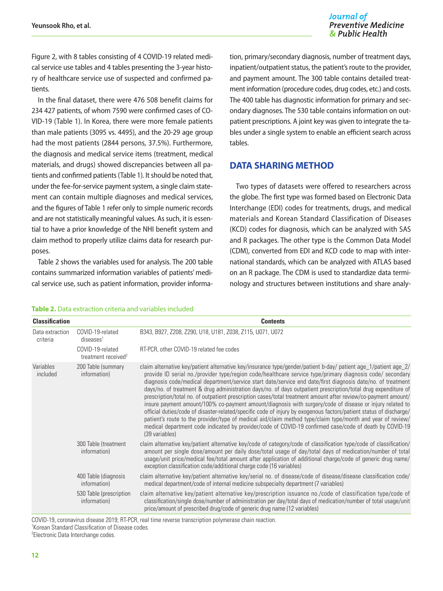#### Journal of **Preventive Medicine** & Public Health

Figure 2, with 8 tables consisting of 4 COVID-19 related medical service use tables and 4 tables presenting the 3-year history of healthcare service use of suspected and confirmed patients.

In the final dataset, there were 476 508 benefit claims for 234 427 patients, of whom 7590 were confirmed cases of CO-VID-19 (Table 1). In Korea, there were more female patients than male patients (3095 vs. 4495), and the 20-29 age group had the most patients (2844 persons, 37.5%). Furthermore, the diagnosis and medical service items (treatment, medical materials, and drugs) showed discrepancies between all patients and confirmed patients (Table 1). It should be noted that, under the fee-for-service payment system, a single claim statement can contain multiple diagnoses and medical services, and the figures of Table 1 refer only to simple numeric records and are not statistically meaningful values. As such, it is essential to have a prior knowledge of the NHI benefit system and claim method to properly utilize claims data for research purposes.

Table 2 shows the variables used for analysis. The 200 table contains summarized information variables of patients' medical service use, such as patient information, provider informa-

tion, primary/secondary diagnosis, number of treatment days, inpatient/outpatient status, the patient's route to the provider, and payment amount. The 300 table contains detailed treatment information (procedure codes, drug codes, etc.) and costs. The 400 table has diagnostic information for primary and secondary diagnoses. The 530 table contains information on outpatient prescriptions. A joint key was given to integrate the tables under a single system to enable an efficient search across tables.

# **DATA SHARING METHOD**

Two types of datasets were offered to researchers across the globe. The first type was formed based on Electronic Data Interchange (EDI) codes for treatments, drugs, and medical materials and Korean Standard Classification of Diseases (KCD) codes for diagnosis, which can be analyzed with SAS and R packages. The other type is the Common Data Model (CDM), converted from EDI and KCD code to map with international standards, which can be analyzed with ATLAS based on an R package. The CDM is used to standardize data terminology and structures between institutions and share analy-

| <b>Classification</b>       |                                                     | <b>Contents</b>                                                                                                                                                                                                                                                                                                                                                                                                                                                                                                                                                                                                                                                                                                                                                                                                                                                                                                                                                                                                                                              |
|-----------------------------|-----------------------------------------------------|--------------------------------------------------------------------------------------------------------------------------------------------------------------------------------------------------------------------------------------------------------------------------------------------------------------------------------------------------------------------------------------------------------------------------------------------------------------------------------------------------------------------------------------------------------------------------------------------------------------------------------------------------------------------------------------------------------------------------------------------------------------------------------------------------------------------------------------------------------------------------------------------------------------------------------------------------------------------------------------------------------------------------------------------------------------|
| Data extraction<br>criteria | COVID-19-related<br>diseases <sup>1</sup>           | B343, B927, Z208, Z290, U18, U181, Z038, Z115, U071, U072                                                                                                                                                                                                                                                                                                                                                                                                                                                                                                                                                                                                                                                                                                                                                                                                                                                                                                                                                                                                    |
|                             | COVID-19-related<br>treatment received <sup>2</sup> | RT-PCR, other COVID-19 related fee codes                                                                                                                                                                                                                                                                                                                                                                                                                                                                                                                                                                                                                                                                                                                                                                                                                                                                                                                                                                                                                     |
| Variables<br>included       | 200 Table (summary<br>information)                  | claim alternative key/patient alternative key/insurance type/gender/patient b-day/ patient age_1/patient age_2/<br>provide ID serial no./provider type/region code/healthcare service type/primary diagnosis code/ secondary<br>diagnosis code/medical department/service start date/service end date/first diagnosis date/no. of treatment<br>days/no. of treatment & drug administration days/no. of days outpatient prescription/total drug expenditure of<br>prescription/total no. of outpatient prescription cases/total treatment amount after review/co-payment amount/<br>insure payment amount/100% co-payment amount/diagnosis with surgery/code of disease or injury related to<br>official duties/code of disaster-related/specific code of injury by exogenous factors/patient status of discharge/<br>patient's route to the provider/type of medical aid/claim method type/claim type/month and year of review/<br>medical department code indicated by provider/code of COVID-19 confirmed case/code of death by COVID-19<br>(39 variables) |
|                             | 300 Table (treatment<br>information)                | claim alternative key/patient alternative key/code of category/code of classification type/code of classification/<br>amount per single dose/amount per daily dose/total usage of day/total days of medication/number of total<br>usage/unit price/medical fee/total amount after application of additional charge/code of generic drug name/<br>exception classification code/additional charge code (16 variables)                                                                                                                                                                                                                                                                                                                                                                                                                                                                                                                                                                                                                                         |
|                             | 400 Table (diagnosis<br>information)                | claim alternative key/patient alternative key/serial no. of disease/code of disease/disease classification code/<br>medical department/code of internal medicine subspecialty department (7 variables)                                                                                                                                                                                                                                                                                                                                                                                                                                                                                                                                                                                                                                                                                                                                                                                                                                                       |
|                             | 530 Table (prescription<br>information)             | claim alternative key/patient alternative key/prescription issuance no./code of classification type/code of<br>classification/single dose/number of administration per day/total days of medication/number of total usage/unit<br>price/amount of prescribed drug/code of generic drug name (12 variables)                                                                                                                                                                                                                                                                                                                                                                                                                                                                                                                                                                                                                                                                                                                                                   |

#### **Table 2.** Data extraction criteria and variables included

COVID-19, coronavirus disease 2019; RT-PCR, real time reverse transcription polymerase chain reaction.

1 Korean Standard Classification of Disease codes.

<sup>2</sup> Electronic Data Interchange codes.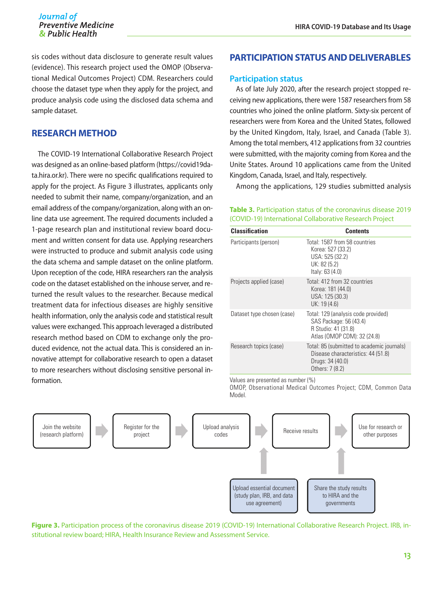#### Journal of **Preventive Medicine** & Public Health

sis codes without data disclosure to generate result values (evidence). This research project used the OMOP (Observational Medical Outcomes Project) CDM. Researchers could choose the dataset type when they apply for the project, and produce analysis code using the disclosed data schema and sample dataset.

# **RESEARCH METHOD**

The COVID-19 International Collaborative Research Project was designed as an online-based platform [\(https://covid19da](https://covid19data.hira.or.kr)[ta.hira.or.kr\)](https://covid19data.hira.or.kr). There were no specific qualifications required to apply for the project. As Figure 3 illustrates, applicants only needed to submit their name, company/organization, and an email address of the company/organization, along with an online data use agreement. The required documents included a 1-page research plan and institutional review board document and written consent for data use. Applying researchers were instructed to produce and submit analysis code using the data schema and sample dataset on the online platform. Upon reception of the code, HIRA researchers ran the analysis code on the dataset established on the inhouse server, and returned the result values to the researcher. Because medical treatment data for infectious diseases are highly sensitive health information, only the analysis code and statistical result values were exchanged. This approach leveraged a distributed research method based on CDM to exchange only the produced evidence, not the actual data. This is considered an innovative attempt for collaborative research to open a dataset to more researchers without disclosing sensitive personal information.

#### **PARTICIPATION STATUS AND DELIVERABLES**

#### **Participation status**

As of late July 2020, after the research project stopped receiving new applications, there were 1587 researchers from 58 countries who joined the online platform. Sixty-six percent of researchers were from Korea and the United States, followed by the United Kingdom, Italy, Israel, and Canada (Table 3). Among the total members, 412 applications from 32 countries were submitted, with the majority coming from Korea and the Unite States. Around 10 applications came from the United Kingdom, Canada, Israel, and Italy, respectively.

Among the applications, 129 studies submitted analysis

#### **Table 3.** Participation status of the coronavirus disease 2019 (COVID-19) International Collaborative Research Project

| <b>Classification</b>      | <b>Contents</b>                                                                                                         |
|----------------------------|-------------------------------------------------------------------------------------------------------------------------|
| Participants (person)      | Total: 1587 from 58 countries<br>Korea: 527 (33.2)<br>USA: 525 (32.2)<br>UK: 82 (5.2)<br>Italy: $63(4.0)$               |
| Projects applied (case)    | Total: 412 from 32 countries<br>Korea: 181 (44.0)<br>USA: 125 (30.3)<br>UK: 19 (4.6)                                    |
| Dataset type chosen (case) | Total: 129 (analysis code provided)<br>SAS Package: 56 (43.4)<br>R Studio: 41 (31.8)<br>Atlas (OMOP CDM): 32 (24.8)     |
| Research topics (case)     | Total: 85 (submitted to academic journals)<br>Disease characteristics: 44 (51.8)<br>Drugs: 34 (40.0)<br>Others: 7 (8.2) |

Values are presented as number (%)

OMOP, Observational Medical Outcomes Project; CDM, Common Data Model.



**Figure 3.** Participation process of the coronavirus disease 2019 (COVID-19) International Collaborative Research Project. IRB, institutional review board; HIRA, Health Insurance Review and Assessment Service.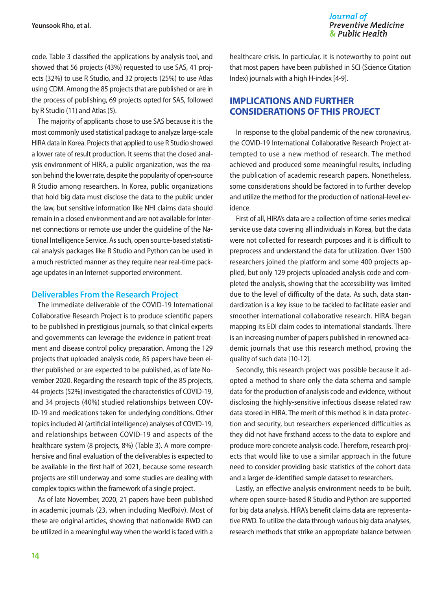code. Table 3 classified the applications by analysis tool, and showed that 56 projects (43%) requested to use SAS, 41 projects (32%) to use R Studio, and 32 projects (25%) to use Atlas using CDM. Among the 85 projects that are published or are in the process of publishing, 69 projects opted for SAS, followed by R Studio (11) and Atlas (5).

The majority of applicants chose to use SAS because it is the most commonly used statistical package to analyze large-scale HIRA data in Korea. Projects that applied to use R Studio showed a lower rate of result production. It seems that the closed analysis environment of HIRA, a public organization, was the reason behind the lower rate, despite the popularity of open-source R Studio among researchers. In Korea, public organizations that hold big data must disclose the data to the public under the law, but sensitive information like NHI claims data should remain in a closed environment and are not available for Internet connections or remote use under the guideline of the National Intelligence Service. As such, open source-based statistical analysis packages like R Studio and Python can be used in a much restricted manner as they require near real-time package updates in an Internet-supported environment.

#### **Deliverables From the Research Project**

The immediate deliverable of the COVID-19 International Collaborative Research Project is to produce scientific papers to be published in prestigious journals, so that clinical experts and governments can leverage the evidence in patient treatment and disease control policy preparation. Among the 129 projects that uploaded analysis code, 85 papers have been either published or are expected to be published, as of late November 2020. Regarding the research topic of the 85 projects, 44 projects (52%) investigated the characteristics of COVID-19, and 34 projects (40%) studied relationships between COV-ID-19 and medications taken for underlying conditions. Other topics included AI (artificial intelligence) analyses of COVID-19, and relationships between COVID-19 and aspects of the healthcare system (8 projects, 8%) (Table 3). A more comprehensive and final evaluation of the deliverables is expected to be available in the first half of 2021, because some research projects are still underway and some studies are dealing with complex topics within the framework of a single project.

As of late November, 2020, 21 papers have been published in academic journals (23, when including MedRxiv). Most of these are original articles, showing that nationwide RWD can be utilized in a meaningful way when the world is faced with a

healthcare crisis. In particular, it is noteworthy to point out that most papers have been published in SCI (Science Citation Index) journals with a high H-index [4-9].

# **IMPLICATIONS AND FURTHER CONSIDERATIONS OF THIS PROJECT**

In response to the global pandemic of the new coronavirus, the COVID-19 International Collaborative Research Project attempted to use a new method of research. The method achieved and produced some meaningful results, including the publication of academic research papers. Nonetheless, some considerations should be factored in to further develop and utilize the method for the production of national-level evidence.

First of all, HIRA's data are a collection of time-series medical service use data covering all individuals in Korea, but the data were not collected for research purposes and it is difficult to preprocess and understand the data for utilization. Over 1500 researchers joined the platform and some 400 projects applied, but only 129 projects uploaded analysis code and completed the analysis, showing that the accessibility was limited due to the level of difficulty of the data. As such, data standardization is a key issue to be tackled to facilitate easier and smoother international collaborative research. HIRA began mapping its EDI claim codes to international standards. There is an increasing number of papers published in renowned academic journals that use this research method, proving the quality of such data [10-12].

Secondly, this research project was possible because it adopted a method to share only the data schema and sample data for the production of analysis code and evidence, without disclosing the highly-sensitive infectious disease related raw data stored in HIRA. The merit of this method is in data protection and security, but researchers experienced difficulties as they did not have firsthand access to the data to explore and produce more concrete analysis code. Therefore, research projects that would like to use a similar approach in the future need to consider providing basic statistics of the cohort data and a larger de-identified sample dataset to researchers.

Lastly, an effective analysis environment needs to be built, where open source-based R Studio and Python are supported for big data analysis. HIRA's benefit claims data are representative RWD. To utilize the data through various big data analyses, research methods that strike an appropriate balance between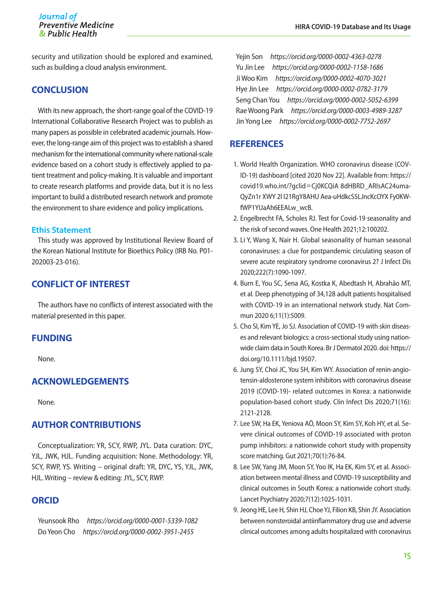security and utilization should be explored and examined, such as building a cloud analysis environment.

### **CONCLUSION**

With its new approach, the short-range goal of the COVID-19 International Collaborative Research Project was to publish as many papers as possible in celebrated academic journals. However, the long-range aim of this project was to establish a shared mechanism for the international community where national-scale evidence based on a cohort study is effectively applied to patient treatment and policy-making. It is valuable and important to create research platforms and provide data, but it is no less important to build a distributed research network and promote the environment to share evidence and policy implications.

#### **Ethis Statement**

This study was approved by Institutional Review Board of the Korean National Institute for Bioethics Policy (IRB No. P01- 202003-23-016).

# **CONFLICT OF INTEREST**

The authors have no conflicts of interest associated with the material presented in this paper.

# **FUNDING**

None.

# **ACKNOWLEDGEMENTS**

None.

# **AUTHOR CONTRIBUTIONS**

Conceptualization: YR, SCY, RWP, JYL. Data curation: DYC, YJL, JWK, HJL. Funding acquisition: None. Methodology: YR, SCY, RWP, YS. Writing – original draft: YR, DYC, YS, YJL, JWK, HJL. Writing – review & editing: JYL, SCY, RWP.

# **ORCID**

Yeunsook Rho *https://orcid.org/0000-0001-5339-1082* Do Yeon Cho *https://orcid.org/0000-0002-3951-2455*

Yejin Son *https://orcid.org/0000-0002-4363-0278* Yu Jin Lee *https://orcid.org/0000-0002-1158-1686* Ji Woo Kim *https://orcid.org/0000-0002-4070-3021* Hye Jin Lee *https://orcid.org/0000-0002-0782-3179* Seng Chan You *https://orcid.org/0000-0002-5052-6399* Rae Woong Park *https://orcid.org/0000-0003-4989-3287* Jin Yong Lee *https://orcid.org/0000-0002-7752-2697*

## **REFERENCES**

- 1. World Health Organization. WHO coronavirus disease (COV-ID-19) dashboard [cited 2020 Nov 22]. Available from: [https://](https://covid19.who.int/?gclid=Cj0KCQiA 8dHBRD_ARIsAC24umaQyZn1r XWY 2l l21RgY8AHU Aea-uHdkcS5LJncKcOYX Fy0KWfWP1YUaAh6EEALw_wcB) covid19.who.int/?gclid=[Cj0KCQiA 8dHBRD\\_ARIsAC24uma-](https://covid19.who.int/?gclid=Cj0KCQiA 8dHBRD_ARIsAC24umaQyZn1r XWY 2l l21RgY8AHU Aea-uHdkcS5LJncKcOYX Fy0KWfWP1YUaAh6EEALw_wcB)[QyZn1r XWY 2l l21RgY8AHU Aea-uHdkcS5LJncKcOYX Fy0KW](https://covid19.who.int/?gclid=Cj0KCQiA 8dHBRD_ARIsAC24umaQyZn1r XWY 2l l21RgY8AHU Aea-uHdkcS5LJncKcOYX Fy0KWfWP1YUaAh6EEALw_wcB)[fWP1YUaAh6EEALw\\_wcB](https://covid19.who.int/?gclid=Cj0KCQiA 8dHBRD_ARIsAC24umaQyZn1r XWY 2l l21RgY8AHU Aea-uHdkcS5LJncKcOYX Fy0KWfWP1YUaAh6EEALw_wcB).
- 2. Engelbrecht FA, Scholes RJ. Test for Covid-19 seasonality and the risk of second waves. One Health 2021;12:100202.
- 3. Li Y, Wang X, Nair H. Global seasonality of human seasonal coronaviruses: a clue for postpandemic circulating season of severe acute respiratory syndrome coronavirus 2? J Infect Dis 2020;222(7):1090-1097.
- 4. Burn E, You SC, Sena AG, Kostka K, Abedtash H, Abrahão MT, et al. Deep phenotyping of 34,128 adult patients hospitalised with COVID-19 in an international network study. Nat Commun 2020 6;11(1):5009.
- 5. Cho SI, Kim YE, Jo SJ. Association of COVID-19 with skin diseases and relevant biologics: a cross-sectional study using nationwide claim data in South Korea. Br J Dermatol 2020. doi: [https://](https://doi.org/10.1111/bjd.19507) [doi.org/10.1111/bjd.19507](https://doi.org/10.1111/bjd.19507).
- 6. Jung SY, Choi JC, You SH, Kim WY. Association of renin-angiotensin-aldosterone system inhibitors with coronavirus disease 2019 (COVID-19)- related outcomes in Korea: a nationwide population-based cohort study. Clin Infect Dis 2020;71(16): 2121-2128.
- 7. Lee SW, Ha EK, Yeniova AÖ, Moon SY, Kim SY, Koh HY, et al. Severe clinical outcomes of COVID-19 associated with proton pump inhibitors: a nationwide cohort study with propensity score matching. Gut 2021;70(1):76-84.
- 8. Lee SW, Yang JM, Moon SY, Yoo IK, Ha EK, Kim SY, et al. Association between mental illness and COVID-19 susceptibility and clinical outcomes in South Korea: a nationwide cohort study. Lancet Psychiatry 2020;7(12):1025-1031.
- 9. Jeong HE, Lee H, Shin HJ, Choe YJ, Filion KB, Shin JY. Association between nonsteroidal antiinflammatory drug use and adverse clinical outcomes among adults hospitalized with coronavirus